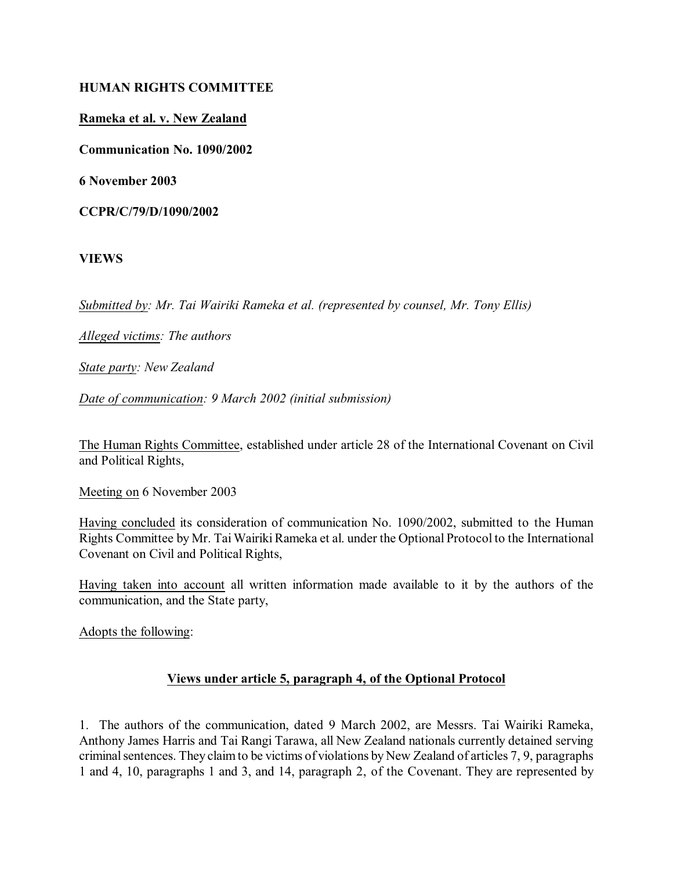### **HUMAN RIGHTS COMMITTEE**

### **Rameka et al. v. New Zealand**

**Communication No. 1090/2002**

**6 November 2003**

**CCPR/C/79/D/1090/2002**

**VIEWS**

*Submitted by: Mr. Tai Wairiki Rameka et al. (represented by counsel, Mr. Tony Ellis)*

*Alleged victims: The authors*

*State party: New Zealand*

*Date of communication: 9 March 2002 (initial submission)*

The Human Rights Committee, established under article 28 of the International Covenant on Civil and Political Rights,

Meeting on 6 November 2003

Having concluded its consideration of communication No. 1090/2002, submitted to the Human Rights Committee by Mr. Tai Wairiki Rameka et al. under the Optional Protocol to the International Covenant on Civil and Political Rights,

Having taken into account all written information made available to it by the authors of the communication, and the State party,

Adopts the following:

# **Views under article 5, paragraph 4, of the Optional Protocol**

1. The authors of the communication, dated 9 March 2002, are Messrs. Tai Wairiki Rameka, Anthony James Harris and Tai Rangi Tarawa, all New Zealand nationals currently detained serving criminalsentences. They claimto be victims of violations byNew Zealand of articles 7, 9, paragraphs 1 and 4, 10, paragraphs 1 and 3, and 14, paragraph 2, of the Covenant. They are represented by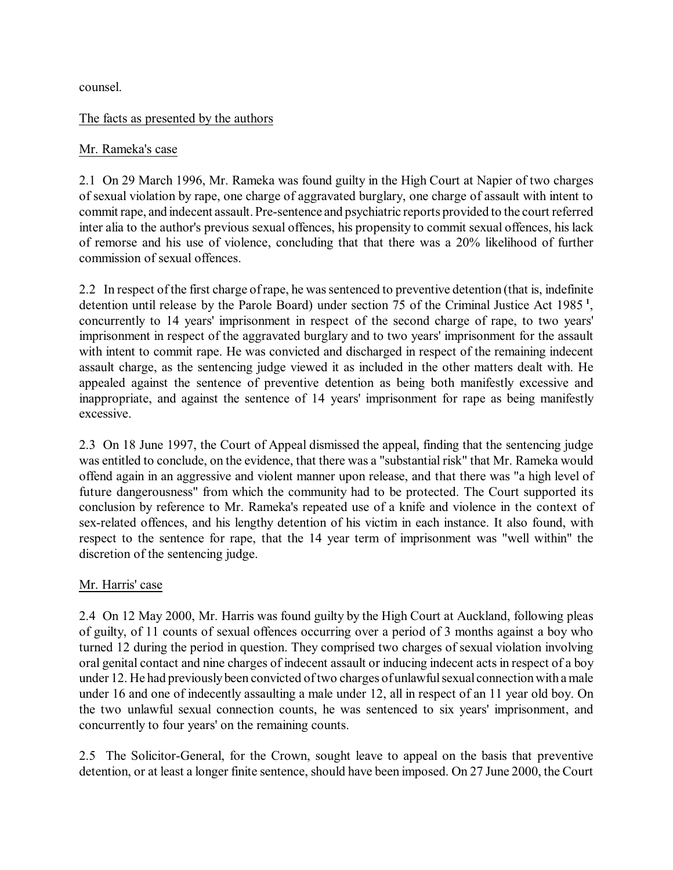counsel.

### The facts as presented by the authors

### Mr. Rameka's case

2.1 On 29 March 1996, Mr. Rameka was found guilty in the High Court at Napier of two charges of sexual violation by rape, one charge of aggravated burglary, one charge of assault with intent to commit rape, and indecent assault. Pre-sentence and psychiatric reports provided to the court referred inter alia to the author's previous sexual offences, his propensity to commit sexual offences, his lack of remorse and his use of violence, concluding that that there was a 20% likelihood of further commission of sexual offences.

2.2 In respect of the first charge of rape, he was sentenced to preventive detention (that is, indefinite detention until release by the Parole Board) under section 75 of the Criminal Justice Act 1985<sup>1</sup>, concurrently to 14 years' imprisonment in respect of the second charge of rape, to two years' imprisonment in respect of the aggravated burglary and to two years' imprisonment for the assault with intent to commit rape. He was convicted and discharged in respect of the remaining indecent assault charge, as the sentencing judge viewed it as included in the other matters dealt with. He appealed against the sentence of preventive detention as being both manifestly excessive and inappropriate, and against the sentence of 14 years' imprisonment for rape as being manifestly excessive.

2.3 On 18 June 1997, the Court of Appeal dismissed the appeal, finding that the sentencing judge was entitled to conclude, on the evidence, that there was a "substantial risk" that Mr. Rameka would offend again in an aggressive and violent manner upon release, and that there was "a high level of future dangerousness" from which the community had to be protected. The Court supported its conclusion by reference to Mr. Rameka's repeated use of a knife and violence in the context of sex-related offences, and his lengthy detention of his victim in each instance. It also found, with respect to the sentence for rape, that the 14 year term of imprisonment was "well within" the discretion of the sentencing judge.

### Mr. Harris' case

2.4 On 12 May 2000, Mr. Harris was found guilty by the High Court at Auckland, following pleas of guilty, of 11 counts of sexual offences occurring over a period of 3 months against a boy who turned 12 during the period in question. They comprised two charges of sexual violation involving oral genital contact and nine charges of indecent assault or inducing indecent actsin respect of a boy under 12. He had previously been convicted of two charges of unlawful sexual connection with a male under 16 and one of indecently assaulting a male under 12, all in respect of an 11 year old boy. On the two unlawful sexual connection counts, he was sentenced to six years' imprisonment, and concurrently to four years' on the remaining counts.

2.5 The Solicitor-General, for the Crown, sought leave to appeal on the basis that preventive detention, or at least a longer finite sentence, should have been imposed. On 27 June 2000, the Court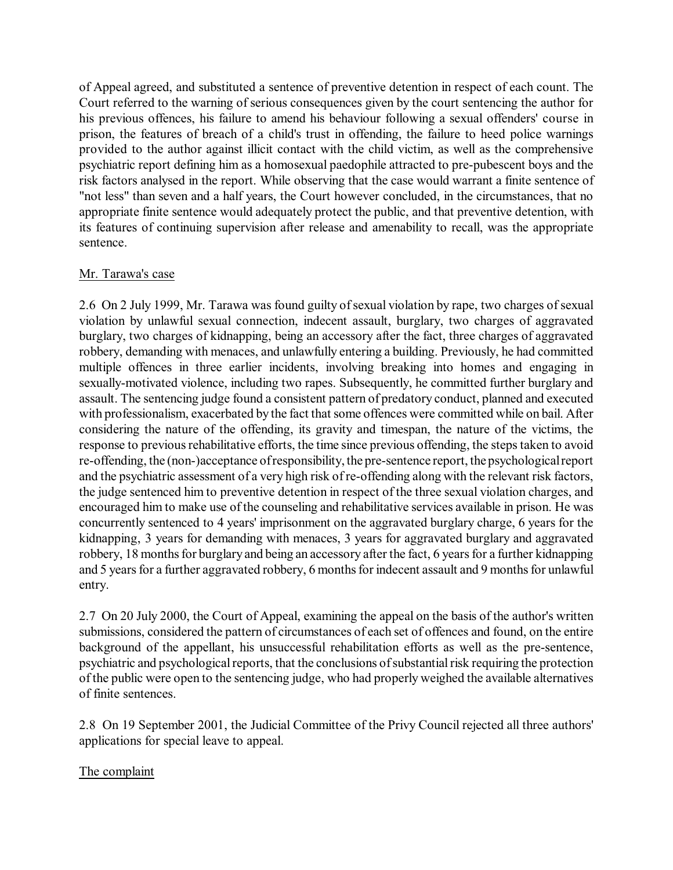of Appeal agreed, and substituted a sentence of preventive detention in respect of each count. The Court referred to the warning of serious consequences given by the court sentencing the author for his previous offences, his failure to amend his behaviour following a sexual offenders' course in prison, the features of breach of a child's trust in offending, the failure to heed police warnings provided to the author against illicit contact with the child victim, as well as the comprehensive psychiatric report defining him as a homosexual paedophile attracted to pre-pubescent boys and the risk factors analysed in the report. While observing that the case would warrant a finite sentence of "not less" than seven and a half years, the Court however concluded, in the circumstances, that no appropriate finite sentence would adequately protect the public, and that preventive detention, with its features of continuing supervision after release and amenability to recall, was the appropriate sentence.

# Mr. Tarawa's case

2.6 On 2 July 1999, Mr. Tarawa was found guilty of sexual violation by rape, two charges of sexual violation by unlawful sexual connection, indecent assault, burglary, two charges of aggravated burglary, two charges of kidnapping, being an accessory after the fact, three charges of aggravated robbery, demanding with menaces, and unlawfully entering a building. Previously, he had committed multiple offences in three earlier incidents, involving breaking into homes and engaging in sexually-motivated violence, including two rapes. Subsequently, he committed further burglary and assault. The sentencing judge found a consistent pattern of predatory conduct, planned and executed with professionalism, exacerbated by the fact that some offences were committed while on bail. After considering the nature of the offending, its gravity and timespan, the nature of the victims, the response to previous rehabilitative efforts, the time since previous offending, the steps taken to avoid re-offending, the (non-)acceptance of responsibility, the pre-sentence report, the psychological report and the psychiatric assessment of a very high risk of re-offending along with the relevant risk factors, the judge sentenced him to preventive detention in respect of the three sexual violation charges, and encouraged him to make use of the counseling and rehabilitative services available in prison. He was concurrently sentenced to 4 years' imprisonment on the aggravated burglary charge, 6 years for the kidnapping, 3 years for demanding with menaces, 3 years for aggravated burglary and aggravated robbery, 18 months for burglaryand being an accessory after the fact, 6 years for a further kidnapping and 5 years for a further aggravated robbery, 6 months for indecent assault and 9 months for unlawful entry.

2.7 On 20 July 2000, the Court of Appeal, examining the appeal on the basis of the author's written submissions, considered the pattern of circumstances of each set of offences and found, on the entire background of the appellant, his unsuccessful rehabilitation efforts as well as the pre-sentence, psychiatric and psychological reports, that the conclusions of substantial risk requiring the protection of the public were open to the sentencing judge, who had properly weighed the available alternatives of finite sentences.

2.8 On 19 September 2001, the Judicial Committee of the Privy Council rejected all three authors' applications for special leave to appeal.

The complaint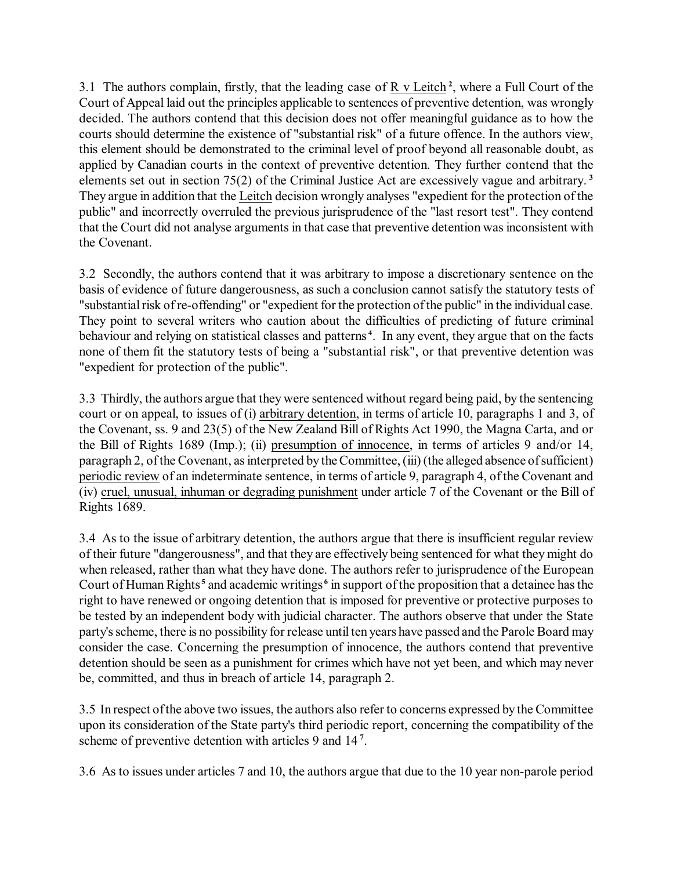3.1 The authors complain, firstly, that the leading case of  $\overline{R}$  v Leitch<sup>2</sup>, where a Full Court of the Court of Appeal laid out the principles applicable to sentences of preventive detention, was wrongly decided. The authors contend that this decision does not offer meaningful guidance as to how the courts should determine the existence of "substantial risk" of a future offence. In the authors view, this element should be demonstrated to the criminal level of proof beyond all reasonable doubt, as applied by Canadian courts in the context of preventive detention. They further contend that the elements set out in section 75(2) of the Criminal Justice Act are excessively vague and arbitrary.**<sup>3</sup>** They argue in addition that the Leitch decision wrongly analyses "expedient for the protection of the public" and incorrectly overruled the previous jurisprudence of the "last resort test". They contend that the Court did not analyse arguments in that case that preventive detention was inconsistent with the Covenant.

3.2 Secondly, the authors contend that it was arbitrary to impose a discretionary sentence on the basis of evidence of future dangerousness, as such a conclusion cannot satisfy the statutory tests of "substantial risk of re-offending" or "expedient for the protection of the public" in the individual case. They point to several writers who caution about the difficulties of predicting of future criminal behaviour and relying on statistical classes and patterns<sup>4</sup>. In any event, they argue that on the facts none of them fit the statutory tests of being a "substantial risk", or that preventive detention was "expedient for protection of the public".

3.3 Thirdly, the authors argue that they were sentenced without regard being paid, by the sentencing court or on appeal, to issues of (i) arbitrary detention, in terms of article 10, paragraphs 1 and 3, of the Covenant, ss. 9 and 23(5) of the New Zealand Bill of Rights Act 1990, the Magna Carta, and or the Bill of Rights 1689 (Imp.); (ii) presumption of innocence, in terms of articles 9 and/or 14, paragraph 2, of the Covenant, as interpreted by the Committee, (iii) (the alleged absence of sufficient) periodic review of an indeterminate sentence, in terms of article 9, paragraph 4, of the Covenant and (iv) cruel, unusual, inhuman or degrading punishment under article 7 of the Covenant or the Bill of Rights 1689.

3.4 As to the issue of arbitrary detention, the authors argue that there is insufficient regular review of their future "dangerousness", and that they are effectively being sentenced for what they might do when released, rather than what they have done. The authors refer to jurisprudence of the European Court of Human Rights<sup>5</sup> and academic writings<sup>6</sup> in support of the proposition that a detainee has the right to have renewed or ongoing detention that is imposed for preventive or protective purposes to be tested by an independent body with judicial character. The authors observe that under the State party's scheme, there is no possibility for release until ten years have passed and the Parole Board may consider the case. Concerning the presumption of innocence, the authors contend that preventive detention should be seen as a punishment for crimes which have not yet been, and which may never be, committed, and thus in breach of article 14, paragraph 2.

3.5 In respect ofthe above two issues, the authors also refer to concerns expressed by the Committee upon its consideration of the State party's third periodic report, concerning the compatibility of the scheme of preventive detention with articles 9 and 14<sup>7</sup>.

3.6 As to issues under articles 7 and 10, the authors argue that due to the 10 year non-parole period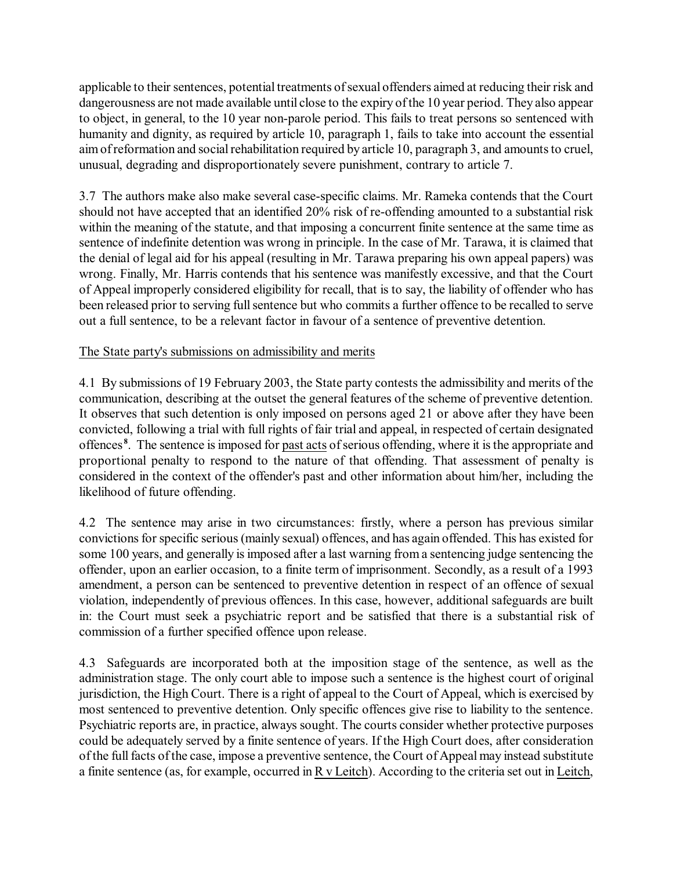applicable to their sentences, potential treatments of sexual offenders aimed at reducing their risk and dangerousness are not made available until close to the expiry of the 10 year period. They also appear to object, in general, to the 10 year non-parole period. This fails to treat persons so sentenced with humanity and dignity, as required by article 10, paragraph 1, fails to take into account the essential aim of reformation and social rehabilitation required by article 10, paragraph 3, and amounts to cruel, unusual, degrading and disproportionately severe punishment, contrary to article 7.

3.7 The authors make also make several case-specific claims. Mr. Rameka contends that the Court should not have accepted that an identified 20% risk of re-offending amounted to a substantial risk within the meaning of the statute, and that imposing a concurrent finite sentence at the same time as sentence of indefinite detention was wrong in principle. In the case of Mr. Tarawa, it is claimed that the denial of legal aid for his appeal (resulting in Mr. Tarawa preparing his own appeal papers) was wrong. Finally, Mr. Harris contends that his sentence was manifestly excessive, and that the Court of Appeal improperly considered eligibility for recall, that is to say, the liability of offender who has been released prior to serving full sentence but who commits a further offence to be recalled to serve out a full sentence, to be a relevant factor in favour of a sentence of preventive detention.

# The State party's submissions on admissibility and merits

4.1 By submissions of 19 February 2003, the State party contests the admissibility and merits of the communication, describing at the outset the general features of the scheme of preventive detention. It observes that such detention is only imposed on persons aged 21 or above after they have been convicted, following a trial with full rights of fair trial and appeal, in respected of certain designated offences<sup>8</sup>. The sentence is imposed for past acts of serious offending, where it is the appropriate and proportional penalty to respond to the nature of that offending. That assessment of penalty is considered in the context of the offender's past and other information about him/her, including the likelihood of future offending.

4.2 The sentence may arise in two circumstances: firstly, where a person has previous similar convictions for specific serious (mainly sexual) offences, and has again offended. This has existed for some 100 years, and generally is imposed after a last warning from a sentencing judge sentencing the offender, upon an earlier occasion, to a finite term of imprisonment. Secondly, as a result of a 1993 amendment, a person can be sentenced to preventive detention in respect of an offence of sexual violation, independently of previous offences. In this case, however, additional safeguards are built in: the Court must seek a psychiatric report and be satisfied that there is a substantial risk of commission of a further specified offence upon release.

4.3 Safeguards are incorporated both at the imposition stage of the sentence, as well as the administration stage. The only court able to impose such a sentence is the highest court of original jurisdiction, the High Court. There is a right of appeal to the Court of Appeal, which is exercised by most sentenced to preventive detention. Only specific offences give rise to liability to the sentence. Psychiatric reports are, in practice, always sought. The courts consider whether protective purposes could be adequately served by a finite sentence of years. If the High Court does, after consideration of the full facts of the case, impose a preventive sentence, the Court of Appeal may instead substitute a finite sentence (as, for example, occurred in R v Leitch). According to the criteria set out in Leitch,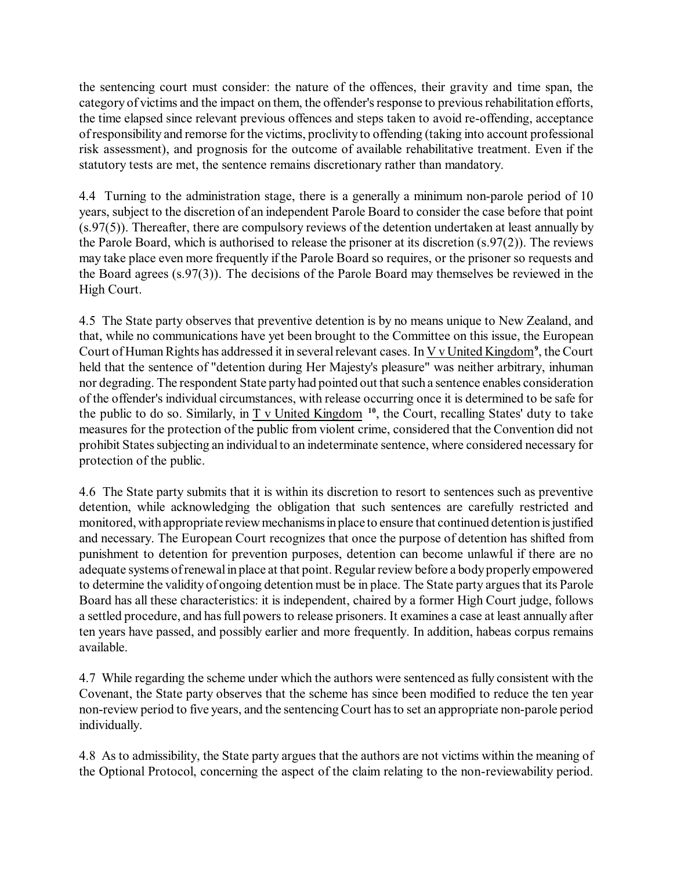the sentencing court must consider: the nature of the offences, their gravity and time span, the category of victims and the impact on them, the offender's response to previous rehabilitation efforts, the time elapsed since relevant previous offences and steps taken to avoid re-offending, acceptance of responsibility and remorse for the victims, proclivityto offending (taking into account professional risk assessment), and prognosis for the outcome of available rehabilitative treatment. Even if the statutory tests are met, the sentence remains discretionary rather than mandatory.

4.4 Turning to the administration stage, there is a generally a minimum non-parole period of 10 years, subject to the discretion of an independent Parole Board to consider the case before that point (s.97(5)). Thereafter, there are compulsory reviews of the detention undertaken at least annually by the Parole Board, which is authorised to release the prisoner at its discretion (s.97(2)). The reviews may take place even more frequently if the Parole Board so requires, or the prisoner so requests and the Board agrees (s.97(3)). The decisions of the Parole Board may themselves be reviewed in the High Court.

4.5 The State party observes that preventive detention is by no means unique to New Zealand, and that, while no communications have yet been brought to the Committee on this issue, the European Court of Human Rights has addressed it in several relevant cases. In V v United Kingdom<sup>9</sup>, the Court held that the sentence of "detention during Her Majesty's pleasure" was neither arbitrary, inhuman nor degrading. The respondent State partyhad pointed out that such a sentence enables consideration of the offender's individual circumstances, with release occurring once it is determined to be safe for the public to do so. Similarly, in T v United Kingdom  $10$ , the Court, recalling States' duty to take measures for the protection of the public from violent crime, considered that the Convention did not prohibit States subjecting an individual to an indeterminate sentence, where considered necessary for protection of the public.

4.6 The State party submits that it is within its discretion to resort to sentences such as preventive detention, while acknowledging the obligation that such sentences are carefully restricted and monitored, with appropriate review mechanisms in place to ensure that continued detention is justified and necessary. The European Court recognizes that once the purpose of detention has shifted from punishment to detention for prevention purposes, detention can become unlawful if there are no adequate systems of renewal in place at that point. Regular review before a body properly empowered to determine the validity of ongoing detention must be in place. The State party argues that its Parole Board has all these characteristics: it is independent, chaired by a former High Court judge, follows a settled procedure, and has full powers to release prisoners. It examines a case at least annually after ten years have passed, and possibly earlier and more frequently. In addition, habeas corpus remains available.

4.7 While regarding the scheme under which the authors were sentenced as fully consistent with the Covenant, the State party observes that the scheme has since been modified to reduce the ten year non-review period to five years, and the sentencingCourt has to set an appropriate non-parole period individually.

4.8 As to admissibility, the State party argues that the authors are not victims within the meaning of the Optional Protocol, concerning the aspect of the claim relating to the non-reviewability period.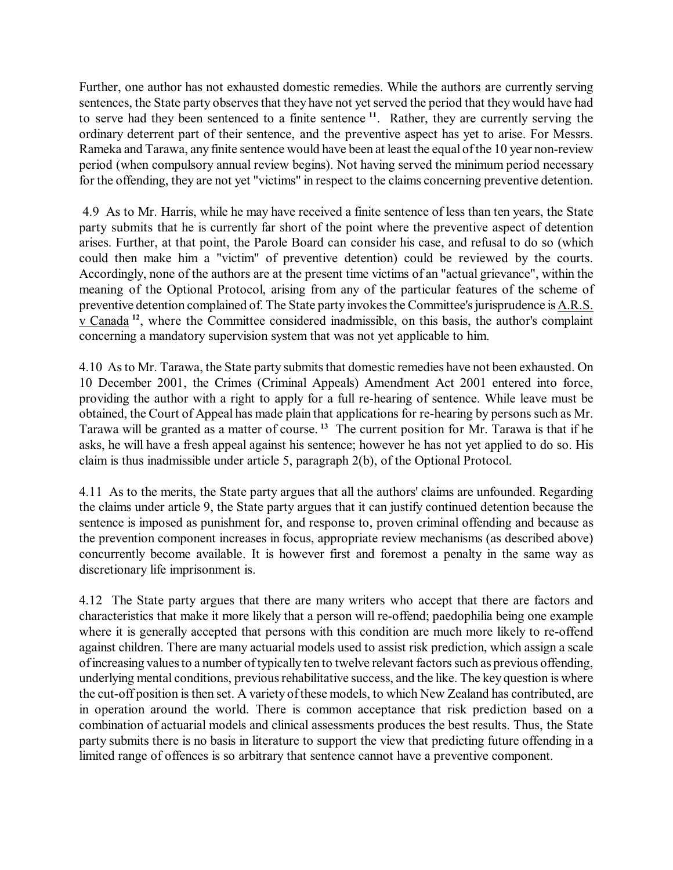Further, one author has not exhausted domestic remedies. While the authors are currently serving sentences, the State party observes that they have not yet served the period that they would have had to serve had they been sentenced to a finite sentence  $11$ . Rather, they are currently serving the ordinary deterrent part of their sentence, and the preventive aspect has yet to arise. For Messrs. Rameka and Tarawa, any finite sentence would have been at least the equal of the 10 year non-review period (when compulsory annual review begins). Not having served the minimum period necessary for the offending, they are not yet "victims" in respect to the claims concerning preventive detention.

 4.9 As to Mr. Harris, while he may have received a finite sentence of less than ten years, the State party submits that he is currently far short of the point where the preventive aspect of detention arises. Further, at that point, the Parole Board can consider his case, and refusal to do so (which could then make him a "victim" of preventive detention) could be reviewed by the courts. Accordingly, none of the authors are at the present time victims of an "actual grievance", within the meaning of the Optional Protocol, arising from any of the particular features of the scheme of preventive detention complained of. The State party invokes the Committee's jurisprudence is A.R.S. v Canada<sup>12</sup>, where the Committee considered inadmissible, on this basis, the author's complaint concerning a mandatory supervision system that was not yet applicable to him.

4.10 As to Mr. Tarawa, the State party submits that domestic remedies have not been exhausted. On 10 December 2001, the Crimes (Criminal Appeals) Amendment Act 2001 entered into force, providing the author with a right to apply for a full re-hearing of sentence. While leave must be obtained, the Court of Appeal has made plain that applications for re-hearing by persons such as Mr. Tarawa will be granted as a matter of course.<sup>13</sup> The current position for Mr. Tarawa is that if he asks, he will have a fresh appeal against his sentence; however he has not yet applied to do so. His claim is thus inadmissible under article 5, paragraph 2(b), of the Optional Protocol.

4.11 As to the merits, the State party argues that all the authors' claims are unfounded. Regarding the claims under article 9, the State party argues that it can justify continued detention because the sentence is imposed as punishment for, and response to, proven criminal offending and because as the prevention component increases in focus, appropriate review mechanisms (as described above) concurrently become available. It is however first and foremost a penalty in the same way as discretionary life imprisonment is.

4.12 The State party argues that there are many writers who accept that there are factors and characteristics that make it more likely that a person will re-offend; paedophilia being one example where it is generally accepted that persons with this condition are much more likely to re-offend against children. There are many actuarial models used to assist risk prediction, which assign a scale of increasing values to a number oftypically ten to twelve relevant factors such as previous offending, underlying mental conditions, previous rehabilitative success, and the like. The key question is where the cut-off position is then set. A variety ofthese models, to which New Zealand has contributed, are in operation around the world. There is common acceptance that risk prediction based on a combination of actuarial models and clinical assessments produces the best results. Thus, the State party submits there is no basis in literature to support the view that predicting future offending in a limited range of offences is so arbitrary that sentence cannot have a preventive component.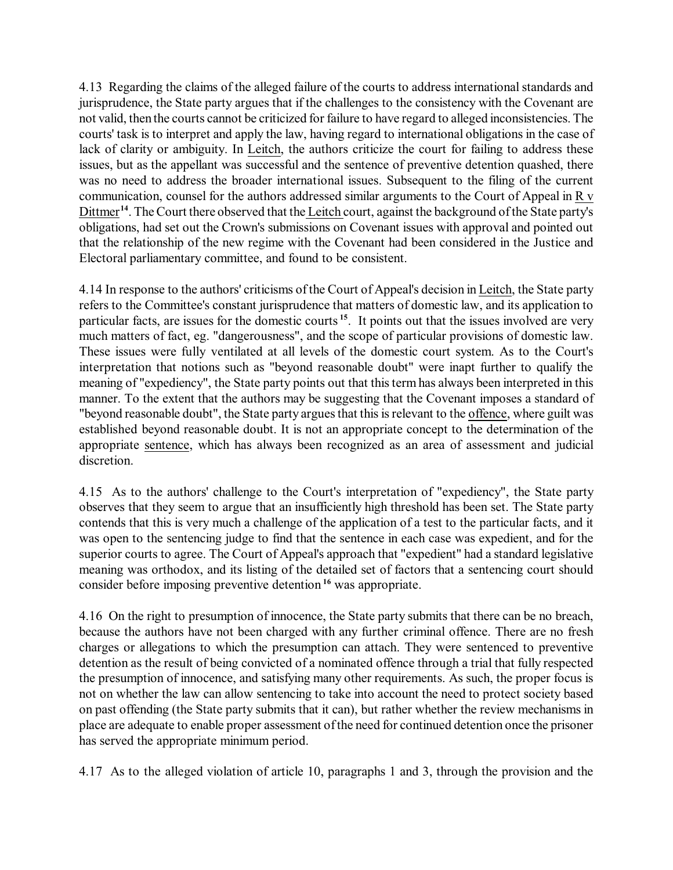4.13 Regarding the claims of the alleged failure of the courts to address international standards and jurisprudence, the State party argues that if the challenges to the consistency with the Covenant are not valid, then the courts cannot be criticized for failure to have regard to alleged inconsistencies. The courts' task is to interpret and apply the law, having regard to international obligations in the case of lack of clarity or ambiguity. In Leitch, the authors criticize the court for failing to address these issues, but as the appellant was successful and the sentence of preventive detention quashed, there was no need to address the broader international issues. Subsequent to the filing of the current communication, counsel for the authors addressed similar arguments to the Court of Appeal in R v Dittmer<sup>14</sup>. The Court there observed that the Leitch court, against the background of the State party's obligations, had set out the Crown's submissions on Covenant issues with approval and pointed out that the relationship of the new regime with the Covenant had been considered in the Justice and Electoral parliamentary committee, and found to be consistent.

4.14 In response to the authors' criticisms ofthe Court of Appeal's decision in Leitch, the State party refers to the Committee's constant jurisprudence that matters of domestic law, and its application to particular facts, are issues for the domestic courts <sup>15</sup>. It points out that the issues involved are very much matters of fact, eg. "dangerousness", and the scope of particular provisions of domestic law. These issues were fully ventilated at all levels of the domestic court system. As to the Court's interpretation that notions such as "beyond reasonable doubt" were inapt further to qualify the meaning of "expediency", the State party points out that this term has always been interpreted in this manner. To the extent that the authors may be suggesting that the Covenant imposes a standard of "beyond reasonable doubt", the State party argues that this is relevant to the offence, where guilt was established beyond reasonable doubt. It is not an appropriate concept to the determination of the appropriate sentence, which has always been recognized as an area of assessment and judicial discretion.

4.15 As to the authors' challenge to the Court's interpretation of "expediency", the State party observes that they seem to argue that an insufficiently high threshold has been set. The State party contends that this is very much a challenge of the application of a test to the particular facts, and it was open to the sentencing judge to find that the sentence in each case was expedient, and for the superior courts to agree. The Court of Appeal's approach that "expedient" had a standard legislative meaning was orthodox, and its listing of the detailed set of factors that a sentencing court should consider before imposing preventive detention<sup>16</sup> was appropriate.

4.16 On the right to presumption of innocence, the State party submits that there can be no breach, because the authors have not been charged with any further criminal offence. There are no fresh charges or allegations to which the presumption can attach. They were sentenced to preventive detention as the result of being convicted of a nominated offence through a trial that fully respected the presumption of innocence, and satisfying many other requirements. As such, the proper focus is not on whether the law can allow sentencing to take into account the need to protect society based on past offending (the State party submits that it can), but rather whether the review mechanisms in place are adequate to enable proper assessment of the need for continued detention once the prisoner has served the appropriate minimum period.

4.17 As to the alleged violation of article 10, paragraphs 1 and 3, through the provision and the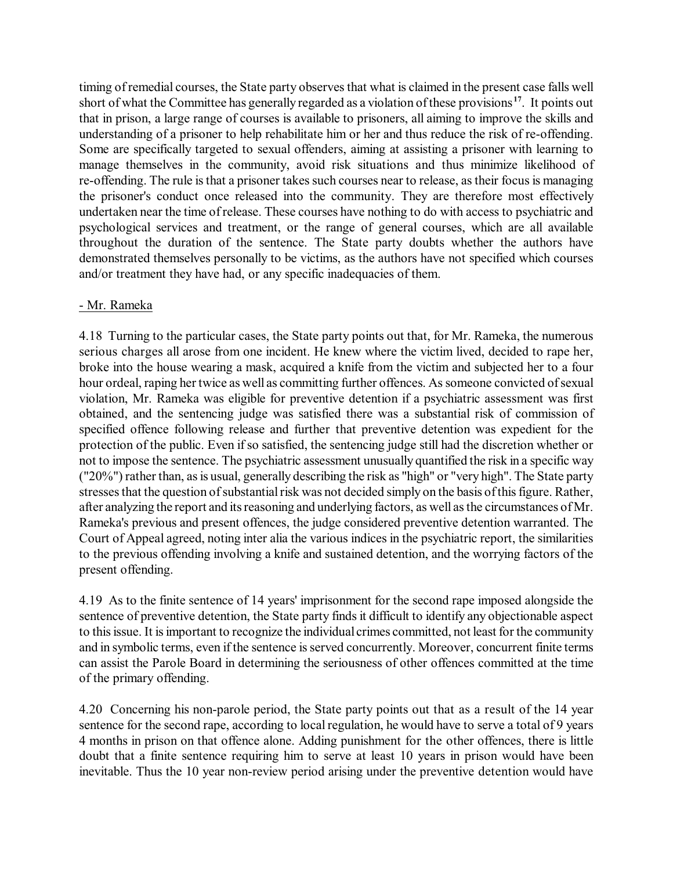timing of remedial courses, the State party observes that what is claimed in the present case falls well short of what the Committee has generally regarded as a violation of these provisions<sup>17</sup>. It points out that in prison, a large range of courses is available to prisoners, all aiming to improve the skills and understanding of a prisoner to help rehabilitate him or her and thus reduce the risk of re-offending. Some are specifically targeted to sexual offenders, aiming at assisting a prisoner with learning to manage themselves in the community, avoid risk situations and thus minimize likelihood of re-offending. The rule is that a prisoner takes such courses near to release, as their focus is managing the prisoner's conduct once released into the community. They are therefore most effectively undertaken near the time of release. These courses have nothing to do with access to psychiatric and psychological services and treatment, or the range of general courses, which are all available throughout the duration of the sentence. The State party doubts whether the authors have demonstrated themselves personally to be victims, as the authors have not specified which courses and/or treatment they have had, or any specific inadequacies of them.

### - Mr. Rameka

4.18 Turning to the particular cases, the State party points out that, for Mr. Rameka, the numerous serious charges all arose from one incident. He knew where the victim lived, decided to rape her, broke into the house wearing a mask, acquired a knife from the victim and subjected her to a four hour ordeal, raping her twice as well as committing further offences. As someone convicted of sexual violation, Mr. Rameka was eligible for preventive detention if a psychiatric assessment was first obtained, and the sentencing judge was satisfied there was a substantial risk of commission of specified offence following release and further that preventive detention was expedient for the protection of the public. Even if so satisfied, the sentencing judge still had the discretion whether or not to impose the sentence. The psychiatric assessment unusually quantified the risk in a specific way ("20%") rather than, as is usual, generally describing the risk as "high" or "very high". The State party stresses that the question of substantial risk was not decided simply on the basis of this figure. Rather, after analyzing the report and itsreasoning and underlying factors, as well as the circumstances of Mr. Rameka's previous and present offences, the judge considered preventive detention warranted. The Court of Appeal agreed, noting inter alia the various indices in the psychiatric report, the similarities to the previous offending involving a knife and sustained detention, and the worrying factors of the present offending.

4.19 As to the finite sentence of 14 years' imprisonment for the second rape imposed alongside the sentence of preventive detention, the State party finds it difficult to identify any objectionable aspect to this issue. It is important to recognize the individual crimes committed, not least for the community and in symbolic terms, even if the sentence is served concurrently. Moreover, concurrent finite terms can assist the Parole Board in determining the seriousness of other offences committed at the time of the primary offending.

4.20 Concerning his non-parole period, the State party points out that as a result of the 14 year sentence for the second rape, according to local regulation, he would have to serve a total of 9 years 4 months in prison on that offence alone. Adding punishment for the other offences, there is little doubt that a finite sentence requiring him to serve at least 10 years in prison would have been inevitable. Thus the 10 year non-review period arising under the preventive detention would have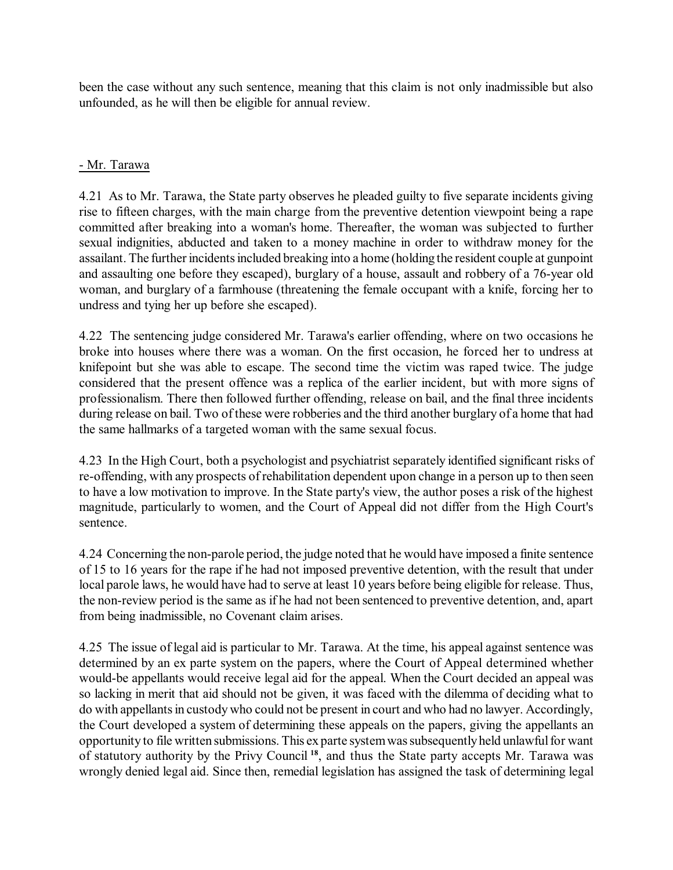been the case without any such sentence, meaning that this claim is not only inadmissible but also unfounded, as he will then be eligible for annual review.

## - Mr. Tarawa

4.21 As to Mr. Tarawa, the State party observes he pleaded guilty to five separate incidents giving rise to fifteen charges, with the main charge from the preventive detention viewpoint being a rape committed after breaking into a woman's home. Thereafter, the woman was subjected to further sexual indignities, abducted and taken to a money machine in order to withdraw money for the assailant. The further incidents included breaking into a home (holding the resident couple at gunpoint and assaulting one before they escaped), burglary of a house, assault and robbery of a 76-year old woman, and burglary of a farmhouse (threatening the female occupant with a knife, forcing her to undress and tying her up before she escaped).

4.22 The sentencing judge considered Mr. Tarawa's earlier offending, where on two occasions he broke into houses where there was a woman. On the first occasion, he forced her to undress at knifepoint but she was able to escape. The second time the victim was raped twice. The judge considered that the present offence was a replica of the earlier incident, but with more signs of professionalism. There then followed further offending, release on bail, and the final three incidents during release on bail. Two of these were robberies and the third another burglary of a home that had the same hallmarks of a targeted woman with the same sexual focus.

4.23 In the High Court, both a psychologist and psychiatrist separately identified significant risks of re-offending, with any prospects of rehabilitation dependent upon change in a person up to then seen to have a low motivation to improve. In the State party's view, the author poses a risk of the highest magnitude, particularly to women, and the Court of Appeal did not differ from the High Court's sentence.

4.24 Concerning the non-parole period, the judge noted that he would have imposed a finite sentence of 15 to 16 years for the rape if he had not imposed preventive detention, with the result that under local parole laws, he would have had to serve at least 10 years before being eligible for release. Thus, the non-review period is the same as if he had not been sentenced to preventive detention, and, apart from being inadmissible, no Covenant claim arises.

4.25 The issue of legal aid is particular to Mr. Tarawa. At the time, his appeal against sentence was determined by an ex parte system on the papers, where the Court of Appeal determined whether would-be appellants would receive legal aid for the appeal. When the Court decided an appeal was so lacking in merit that aid should not be given, it was faced with the dilemma of deciding what to do with appellants in custody who could not be present in court and who had no lawyer. Accordingly, the Court developed a system of determining these appeals on the papers, giving the appellants an opportunity to file written submissions. This ex parte system was subsequently held unlawful for want of statutory authority by the Privy Council <sup>18</sup>, and thus the State party accepts Mr. Tarawa was wrongly denied legal aid. Since then, remedial legislation has assigned the task of determining legal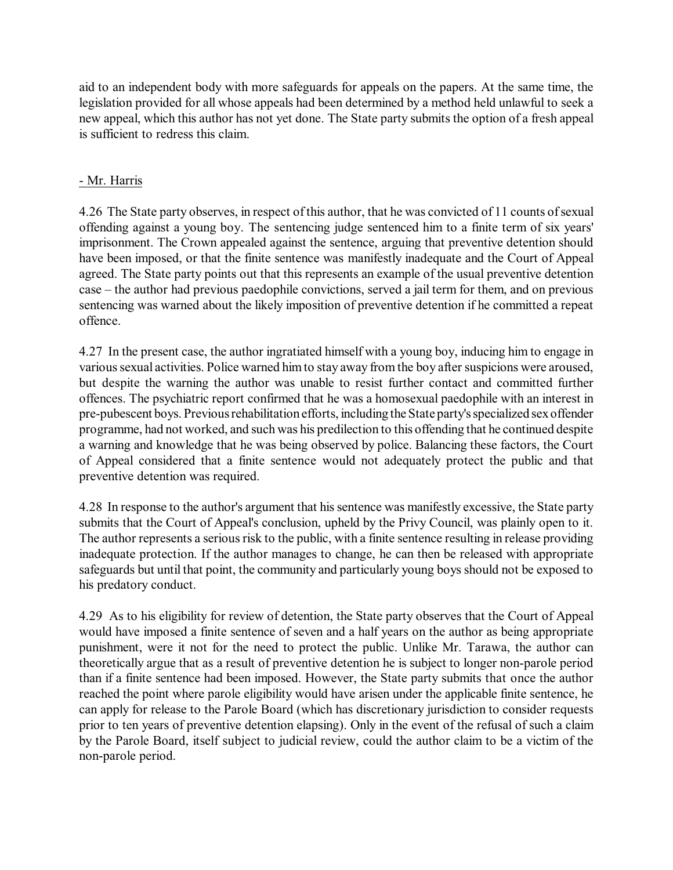aid to an independent body with more safeguards for appeals on the papers. At the same time, the legislation provided for all whose appeals had been determined by a method held unlawful to seek a new appeal, which this author has not yet done. The State party submits the option of a fresh appeal is sufficient to redress this claim.

# - Mr. Harris

4.26 The State party observes, in respect of this author, that he was convicted of 11 counts of sexual offending against a young boy. The sentencing judge sentenced him to a finite term of six years' imprisonment. The Crown appealed against the sentence, arguing that preventive detention should have been imposed, or that the finite sentence was manifestly inadequate and the Court of Appeal agreed. The State party points out that this represents an example of the usual preventive detention case – the author had previous paedophile convictions, served a jail term for them, and on previous sentencing was warned about the likely imposition of preventive detention if he committed a repeat offence.

4.27 In the present case, the author ingratiated himself with a young boy, inducing him to engage in various sexual activities. Police warned him to stay away from the boy after suspicions were aroused, but despite the warning the author was unable to resist further contact and committed further offences. The psychiatric report confirmed that he was a homosexual paedophile with an interest in pre-pubescent boys. Previous rehabilitation efforts, including the State party's specialized sex offender programme, had not worked, and such was his predilection to this offending that he continued despite a warning and knowledge that he was being observed by police. Balancing these factors, the Court of Appeal considered that a finite sentence would not adequately protect the public and that preventive detention was required.

4.28 In response to the author's argument that his sentence was manifestly excessive, the State party submits that the Court of Appeal's conclusion, upheld by the Privy Council, was plainly open to it. The author represents a serious risk to the public, with a finite sentence resulting in release providing inadequate protection. If the author manages to change, he can then be released with appropriate safeguards but until that point, the community and particularly young boys should not be exposed to his predatory conduct.

4.29 As to his eligibility for review of detention, the State party observes that the Court of Appeal would have imposed a finite sentence of seven and a half years on the author as being appropriate punishment, were it not for the need to protect the public. Unlike Mr. Tarawa, the author can theoretically argue that as a result of preventive detention he is subject to longer non-parole period than if a finite sentence had been imposed. However, the State party submits that once the author reached the point where parole eligibility would have arisen under the applicable finite sentence, he can apply for release to the Parole Board (which has discretionary jurisdiction to consider requests prior to ten years of preventive detention elapsing). Only in the event of the refusal of such a claim by the Parole Board, itself subject to judicial review, could the author claim to be a victim of the non-parole period.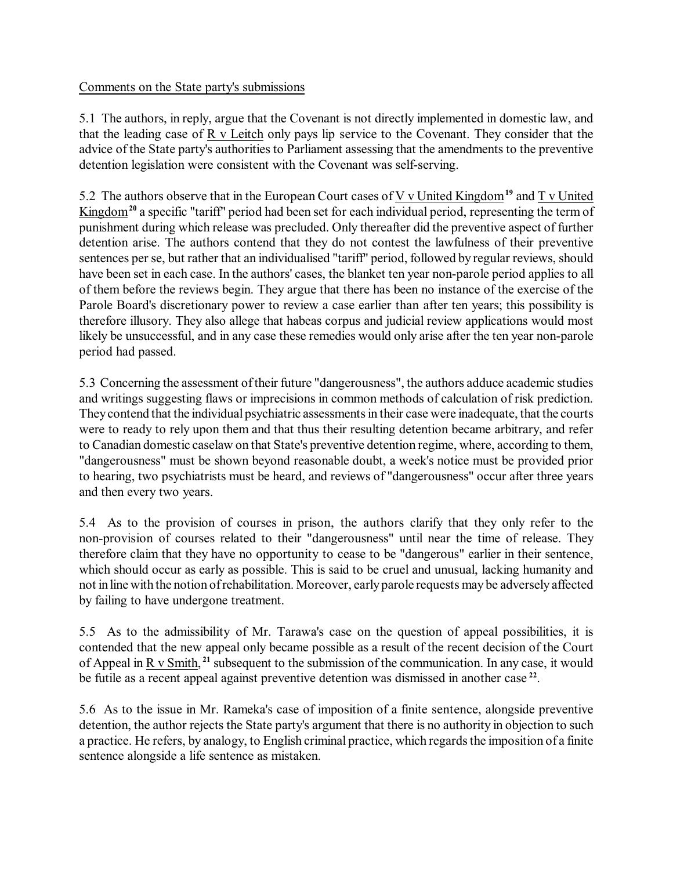# Comments on the State party's submissions

5.1 The authors, in reply, argue that the Covenant is not directly implemented in domestic law, and that the leading case of R v Leitch only pays lip service to the Covenant. They consider that the advice of the State party's authorities to Parliament assessing that the amendments to the preventive detention legislation were consistent with the Covenant was self-serving.

5.2 The authors observe that in the European Court cases of V v United Kingdom<sup>19</sup> and T v United Kingdom<sup>20</sup> a specific "tariff" period had been set for each individual period, representing the term of punishment during which release was precluded. Only thereafter did the preventive aspect of further detention arise. The authors contend that they do not contest the lawfulness of their preventive sentences per se, but rather that an individualised "tariff" period, followed by regular reviews, should have been set in each case. In the authors' cases, the blanket ten year non-parole period applies to all of them before the reviews begin. They argue that there has been no instance of the exercise of the Parole Board's discretionary power to review a case earlier than after ten years; this possibility is therefore illusory. They also allege that habeas corpus and judicial review applications would most likely be unsuccessful, and in any case these remedies would only arise after the ten year non-parole period had passed.

5.3 Concerning the assessment of their future "dangerousness", the authors adduce academic studies and writings suggesting flaws or imprecisions in common methods of calculation of risk prediction. They contend that the individual psychiatric assessmentsin their case were inadequate, that the courts were to ready to rely upon them and that thus their resulting detention became arbitrary, and refer to Canadian domestic caselaw on that State's preventive detention regime, where, according to them, "dangerousness" must be shown beyond reasonable doubt, a week's notice must be provided prior to hearing, two psychiatrists must be heard, and reviews of "dangerousness" occur after three years and then every two years.

5.4 As to the provision of courses in prison, the authors clarify that they only refer to the non-provision of courses related to their "dangerousness" until near the time of release. They therefore claim that they have no opportunity to cease to be "dangerous" earlier in their sentence, which should occur as early as possible. This is said to be cruel and unusual, lacking humanity and not in line with the notion ofrehabilitation. Moreover, earlyparole requests may be adversely affected by failing to have undergone treatment.

5.5 As to the admissibility of Mr. Tarawa's case on the question of appeal possibilities, it is contended that the new appeal only became possible as a result of the recent decision of the Court of Appeal in R v Smith,  $21$  subsequent to the submission of the communication. In any case, it would be futile as a recent appeal against preventive detention was dismissed in another case<sup>22</sup>.

5.6 As to the issue in Mr. Rameka's case of imposition of a finite sentence, alongside preventive detention, the author rejects the State party's argument that there is no authority in objection to such a practice. He refers, by analogy, to English criminal practice, which regards the imposition of a finite sentence alongside a life sentence as mistaken.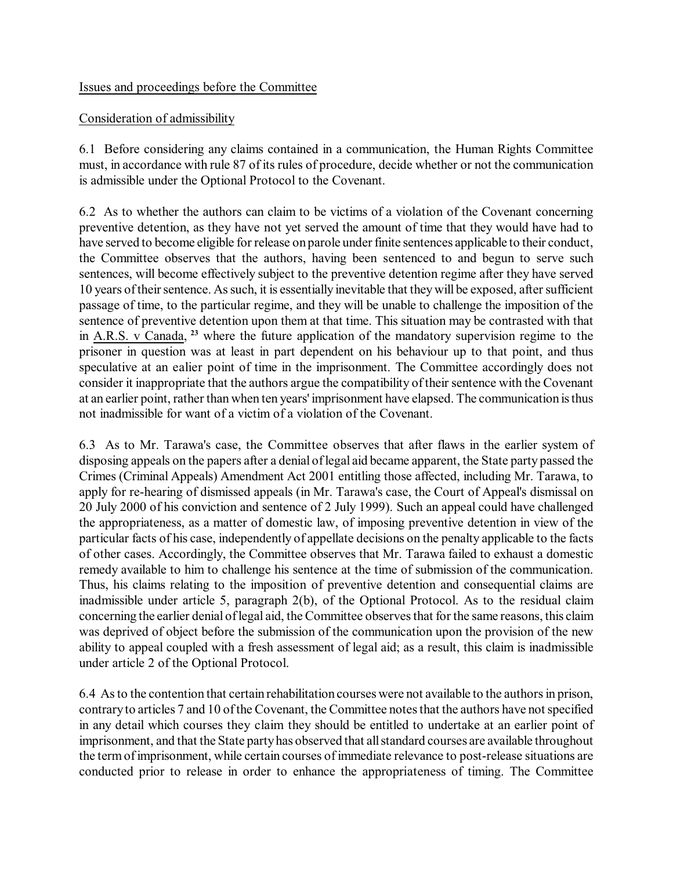### Issues and proceedings before the Committee

### Consideration of admissibility

6.1 Before considering any claims contained in a communication, the Human Rights Committee must, in accordance with rule 87 of its rules of procedure, decide whether or not the communication is admissible under the Optional Protocol to the Covenant.

6.2 As to whether the authors can claim to be victims of a violation of the Covenant concerning preventive detention, as they have not yet served the amount of time that they would have had to have served to become eligible for release on parole under finite sentences applicable to their conduct, the Committee observes that the authors, having been sentenced to and begun to serve such sentences, will become effectively subject to the preventive detention regime after they have served 10 years of their sentence. As such, it is essentially inevitable that they will be exposed, after sufficient passage of time, to the particular regime, and they will be unable to challenge the imposition of the sentence of preventive detention upon them at that time. This situation may be contrasted with that in A.R.S. v Canada,  $23$  where the future application of the mandatory supervision regime to the prisoner in question was at least in part dependent on his behaviour up to that point, and thus speculative at an ealier point of time in the imprisonment. The Committee accordingly does not consider it inappropriate that the authors argue the compatibility of their sentence with the Covenant at an earlier point, rather than when ten years' imprisonment have elapsed. The communication is thus not inadmissible for want of a victim of a violation of the Covenant.

6.3 As to Mr. Tarawa's case, the Committee observes that after flaws in the earlier system of disposing appeals on the papers after a denial of legal aid became apparent, the State party passed the Crimes (Criminal Appeals) Amendment Act 2001 entitling those affected, including Mr. Tarawa, to apply for re-hearing of dismissed appeals (in Mr. Tarawa's case, the Court of Appeal's dismissal on 20 July 2000 of his conviction and sentence of 2 July 1999). Such an appeal could have challenged the appropriateness, as a matter of domestic law, of imposing preventive detention in view of the particular facts of his case, independently of appellate decisions on the penalty applicable to the facts of other cases. Accordingly, the Committee observes that Mr. Tarawa failed to exhaust a domestic remedy available to him to challenge his sentence at the time of submission of the communication. Thus, his claims relating to the imposition of preventive detention and consequential claims are inadmissible under article 5, paragraph 2(b), of the Optional Protocol. As to the residual claim concerning the earlier denial of legal aid, the Committee observes that for the same reasons, this claim was deprived of object before the submission of the communication upon the provision of the new ability to appeal coupled with a fresh assessment of legal aid; as a result, this claim is inadmissible under article 2 of the Optional Protocol.

6.4 As to the contention that certain rehabilitation courses were not available to the authors in prison, contrary to articles 7 and 10 ofthe Covenant, the Committee notesthat the authors have not specified in any detail which courses they claim they should be entitled to undertake at an earlier point of imprisonment, and that the State party has observed that all standard courses are available throughout the term of imprisonment, while certain courses of immediate relevance to post-release situations are conducted prior to release in order to enhance the appropriateness of timing. The Committee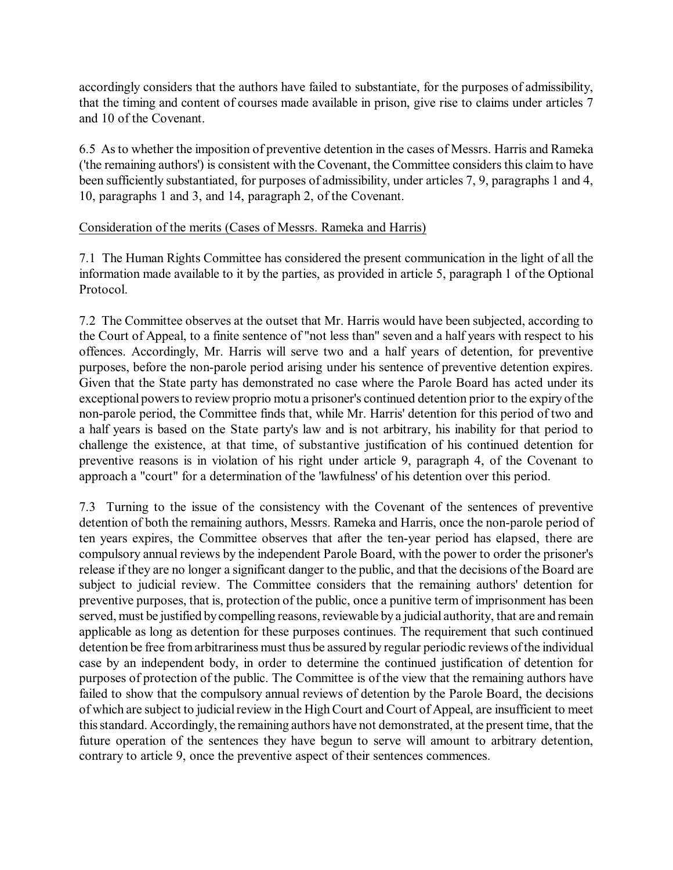accordingly considers that the authors have failed to substantiate, for the purposes of admissibility, that the timing and content of courses made available in prison, give rise to claims under articles 7 and 10 of the Covenant.

6.5 As to whether the imposition of preventive detention in the cases of Messrs. Harris and Rameka ('the remaining authors') is consistent with the Covenant, the Committee considers this claim to have been sufficiently substantiated, for purposes of admissibility, under articles 7, 9, paragraphs 1 and 4, 10, paragraphs 1 and 3, and 14, paragraph 2, of the Covenant.

### Consideration of the merits (Cases of Messrs. Rameka and Harris)

7.1 The Human Rights Committee has considered the present communication in the light of all the information made available to it by the parties, as provided in article 5, paragraph 1 of the Optional Protocol.

7.2 The Committee observes at the outset that Mr. Harris would have been subjected, according to the Court of Appeal, to a finite sentence of "not less than" seven and a half years with respect to his offences. Accordingly, Mr. Harris will serve two and a half years of detention, for preventive purposes, before the non-parole period arising under his sentence of preventive detention expires. Given that the State party has demonstrated no case where the Parole Board has acted under its exceptional powers to review proprio motu a prisoner's continued detention prior to the expiry of the non-parole period, the Committee finds that, while Mr. Harris' detention for this period of two and a half years is based on the State party's law and is not arbitrary, his inability for that period to challenge the existence, at that time, of substantive justification of his continued detention for preventive reasons is in violation of his right under article 9, paragraph 4, of the Covenant to approach a "court" for a determination of the 'lawfulness' of his detention over this period.

7.3 Turning to the issue of the consistency with the Covenant of the sentences of preventive detention of both the remaining authors, Messrs. Rameka and Harris, once the non-parole period of ten years expires, the Committee observes that after the ten-year period has elapsed, there are compulsory annual reviews by the independent Parole Board, with the power to order the prisoner's release if they are no longer a significant danger to the public, and that the decisions of the Board are subject to judicial review. The Committee considers that the remaining authors' detention for preventive purposes, that is, protection of the public, once a punitive term of imprisonment has been served, must be justified by compelling reasons, reviewable by a judicial authority, that are and remain applicable as long as detention for these purposes continues. The requirement that such continued detention be free from arbitrariness must thus be assured by regular periodic reviews of the individual case by an independent body, in order to determine the continued justification of detention for purposes of protection of the public. The Committee is of the view that the remaining authors have failed to show that the compulsory annual reviews of detention by the Parole Board, the decisions of which are subject to judicial review in the High Court and Court of Appeal, are insufficient to meet thisstandard. Accordingly, the remaining authors have not demonstrated, at the present time, that the future operation of the sentences they have begun to serve will amount to arbitrary detention, contrary to article 9, once the preventive aspect of their sentences commences.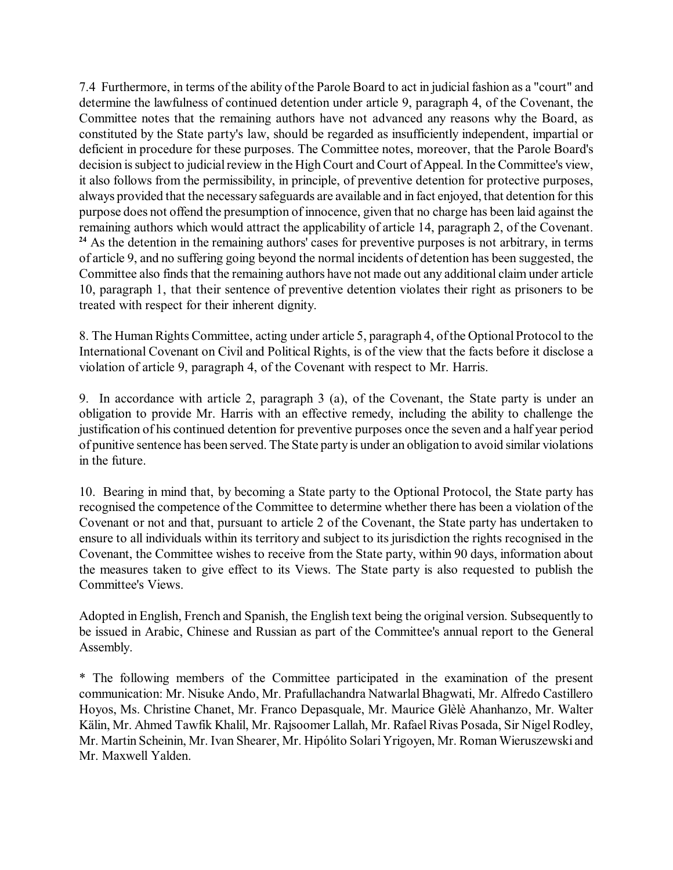7.4 Furthermore, in terms of the ability of the Parole Board to act in judicial fashion as a "court" and determine the lawfulness of continued detention under article 9, paragraph 4, of the Covenant, the Committee notes that the remaining authors have not advanced any reasons why the Board, as constituted by the State party's law, should be regarded as insufficiently independent, impartial or deficient in procedure for these purposes. The Committee notes, moreover, that the Parole Board's decision is subject to judicial review in the High Court and Court of Appeal. In the Committee's view, it also follows from the permissibility, in principle, of preventive detention for protective purposes, always provided that the necessary safeguards are available and in fact enjoyed, that detention for this purpose does not offend the presumption of innocence, given that no charge has been laid against the remaining authors which would attract the applicability of article 14, paragraph 2, of the Covenant. <sup>24</sup> As the detention in the remaining authors' cases for preventive purposes is not arbitrary, in terms of article 9, and no suffering going beyond the normal incidents of detention has been suggested, the Committee also finds that the remaining authors have not made out any additional claim under article 10, paragraph 1, that their sentence of preventive detention violates their right as prisoners to be treated with respect for their inherent dignity.

8. The Human Rights Committee, acting under article 5, paragraph 4, ofthe Optional Protocol to the International Covenant on Civil and Political Rights, is of the view that the facts before it disclose a violation of article 9, paragraph 4, of the Covenant with respect to Mr. Harris.

9. In accordance with article 2, paragraph 3 (a), of the Covenant, the State party is under an obligation to provide Mr. Harris with an effective remedy, including the ability to challenge the justification of his continued detention for preventive purposes once the seven and a half year period of punitive sentence has been served. The State partyis under an obligation to avoid similar violations in the future.

10. Bearing in mind that, by becoming a State party to the Optional Protocol, the State party has recognised the competence of the Committee to determine whether there has been a violation of the Covenant or not and that, pursuant to article 2 of the Covenant, the State party has undertaken to ensure to all individuals within its territory and subject to its jurisdiction the rights recognised in the Covenant, the Committee wishes to receive from the State party, within 90 days, information about the measures taken to give effect to its Views. The State party is also requested to publish the Committee's Views.

Adopted in English, French and Spanish, the English text being the original version. Subsequently to be issued in Arabic, Chinese and Russian as part of the Committee's annual report to the General Assembly.

\* The following members of the Committee participated in the examination of the present communication: Mr. Nisuke Ando, Mr. Prafullachandra Natwarlal Bhagwati, Mr. Alfredo Castillero Hoyos, Ms. Christine Chanet, Mr. Franco Depasquale, Mr. Maurice Glèlè Ahanhanzo, Mr. Walter Kälin, Mr. Ahmed Tawfik Khalil, Mr. Rajsoomer Lallah, Mr. Rafael Rivas Posada, Sir Nigel Rodley, Mr. Martin Scheinin, Mr. Ivan Shearer, Mr. Hipólito Solari Yrigoyen, Mr. Roman Wieruszewski and Mr. Maxwell Yalden.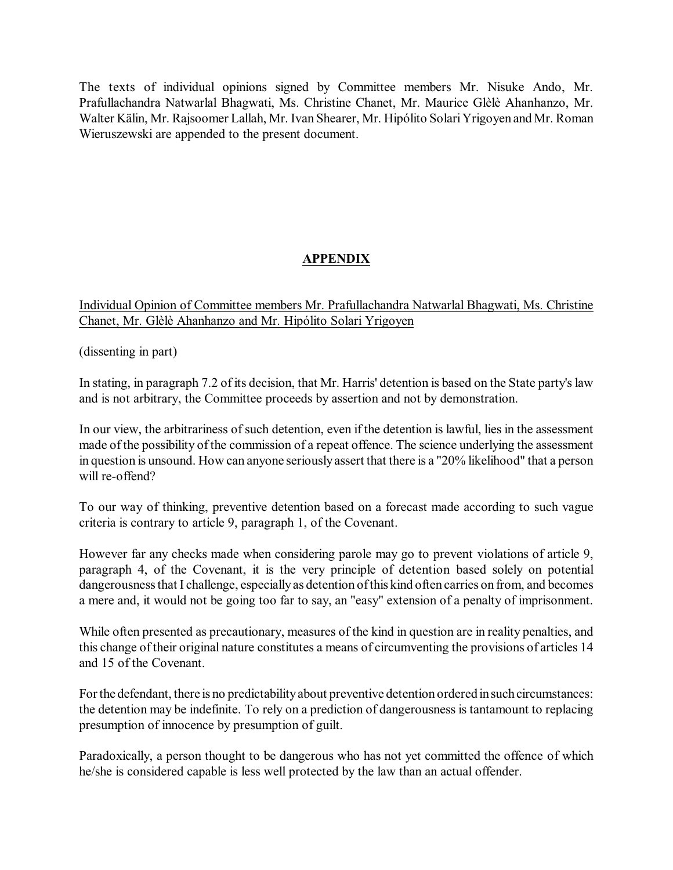The texts of individual opinions signed by Committee members Mr. Nisuke Ando, Mr. Prafullachandra Natwarlal Bhagwati, Ms. Christine Chanet, Mr. Maurice Glèlè Ahanhanzo, Mr. Walter Kälin, Mr. Rajsoomer Lallah, Mr. Ivan Shearer, Mr. Hipólito Solari Yrigoyen and Mr. Roman Wieruszewski are appended to the present document.

# **APPENDIX**

Individual Opinion of Committee members Mr. Prafullachandra Natwarlal Bhagwati, Ms. Christine Chanet, Mr. Glèlè Ahanhanzo and Mr. Hipólito Solari Yrigoyen

(dissenting in part)

In stating, in paragraph 7.2 of its decision, that Mr. Harris' detention is based on the State party's law and is not arbitrary, the Committee proceeds by assertion and not by demonstration.

In our view, the arbitrariness of such detention, even if the detention is lawful, lies in the assessment made of the possibility of the commission of a repeat offence. The science underlying the assessment in question is unsound. How can anyone seriouslyassert that there is a "20% likelihood" that a person will re-offend?

To our way of thinking, preventive detention based on a forecast made according to such vague criteria is contrary to article 9, paragraph 1, of the Covenant.

However far any checks made when considering parole may go to prevent violations of article 9, paragraph 4, of the Covenant, it is the very principle of detention based solely on potential dangerousnessthat I challenge, especiallyas detention ofthis kind often carries on from, and becomes a mere and, it would not be going too far to say, an "easy" extension of a penalty of imprisonment.

While often presented as precautionary, measures of the kind in question are in reality penalties, and this change of their original nature constitutes a means of circumventing the provisions of articles 14 and 15 of the Covenant.

For the defendant, there is no predictability about preventive detention ordered in such circumstances: the detention may be indefinite. To rely on a prediction of dangerousness is tantamount to replacing presumption of innocence by presumption of guilt.

Paradoxically, a person thought to be dangerous who has not yet committed the offence of which he/she is considered capable is less well protected by the law than an actual offender.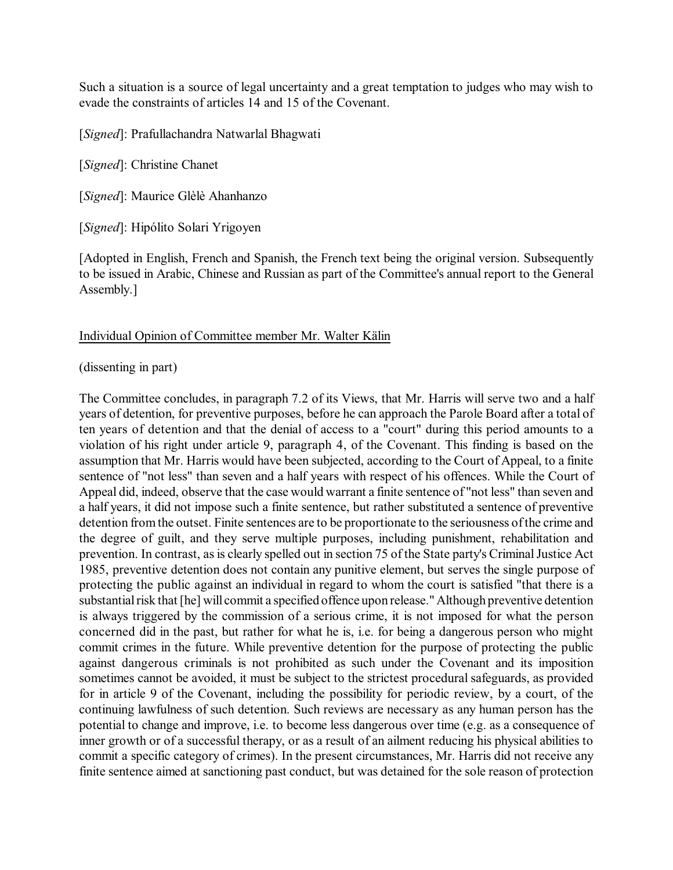Such a situation is a source of legal uncertainty and a great temptation to judges who may wish to evade the constraints of articles 14 and 15 of the Covenant.

[*Signed*]: Prafullachandra Natwarlal Bhagwati

[*Signed*]: Christine Chanet

[*Signed*]: Maurice Glèlè Ahanhanzo

[*Signed*]: Hipólito Solari Yrigoyen

[Adopted in English, French and Spanish, the French text being the original version. Subsequently to be issued in Arabic, Chinese and Russian as part of the Committee's annual report to the General Assembly.]

### Individual Opinion of Committee member Mr. Walter Kälin

### (dissenting in part)

The Committee concludes, in paragraph 7.2 of its Views, that Mr. Harris will serve two and a half years of detention, for preventive purposes, before he can approach the Parole Board after a total of ten years of detention and that the denial of access to a "court" during this period amounts to a violation of his right under article 9, paragraph 4, of the Covenant. This finding is based on the assumption that Mr. Harris would have been subjected, according to the Court of Appeal, to a finite sentence of "not less" than seven and a half years with respect of his offences. While the Court of Appeal did, indeed, observe that the case would warrant a finite sentence of "not less" than seven and a half years, it did not impose such a finite sentence, but rather substituted a sentence of preventive detention from the outset. Finite sentences are to be proportionate to the seriousness of the crime and the degree of guilt, and they serve multiple purposes, including punishment, rehabilitation and prevention. In contrast, as is clearly spelled out in section 75 of the State party's Criminal Justice Act 1985, preventive detention does not contain any punitive element, but serves the single purpose of protecting the public against an individual in regard to whom the court is satisfied "that there is a substantial risk that [he] will commit a specified offence upon release." Although preventive detention is always triggered by the commission of a serious crime, it is not imposed for what the person concerned did in the past, but rather for what he is, i.e. for being a dangerous person who might commit crimes in the future. While preventive detention for the purpose of protecting the public against dangerous criminals is not prohibited as such under the Covenant and its imposition sometimes cannot be avoided, it must be subject to the strictest procedural safeguards, as provided for in article 9 of the Covenant, including the possibility for periodic review, by a court, of the continuing lawfulness of such detention. Such reviews are necessary as any human person has the potential to change and improve, i.e. to become less dangerous over time (e.g. as a consequence of inner growth or of a successful therapy, or as a result of an ailment reducing his physical abilities to commit a specific category of crimes). In the present circumstances, Mr. Harris did not receive any finite sentence aimed at sanctioning past conduct, but was detained for the sole reason of protection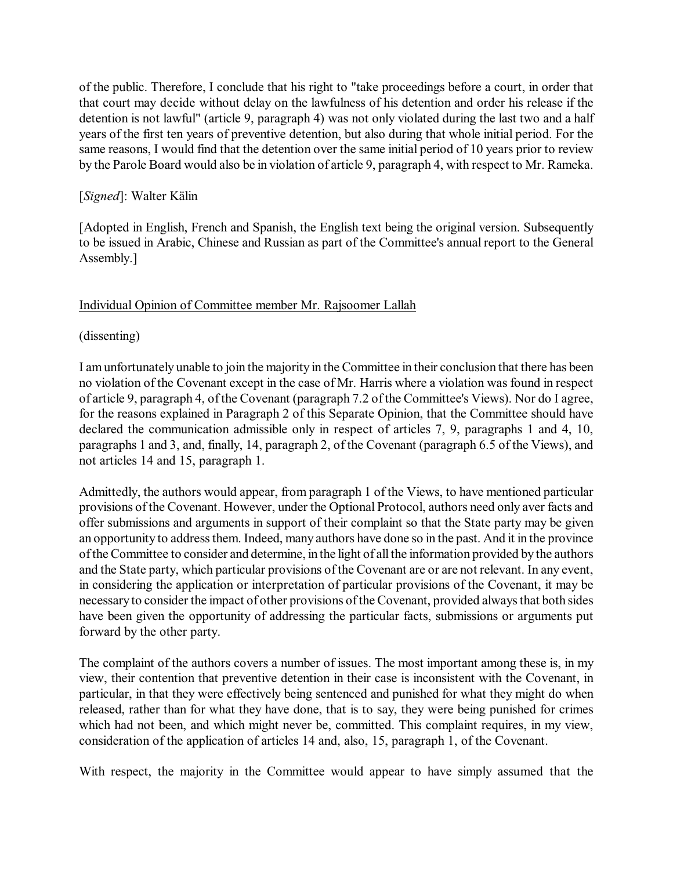of the public. Therefore, I conclude that his right to "take proceedings before a court, in order that that court may decide without delay on the lawfulness of his detention and order his release if the detention is not lawful" (article 9, paragraph 4) was not only violated during the last two and a half years of the first ten years of preventive detention, but also during that whole initial period. For the same reasons, I would find that the detention over the same initial period of 10 years prior to review by the Parole Board would also be in violation of article 9, paragraph 4, with respect to Mr. Rameka.

# [*Signed*]: Walter Kälin

[Adopted in English, French and Spanish, the English text being the original version. Subsequently to be issued in Arabic, Chinese and Russian as part of the Committee's annual report to the General Assembly.]

# Individual Opinion of Committee member Mr. Rajsoomer Lallah

# (dissenting)

I am unfortunately unable to join the majority in the Committee in their conclusion that there has been no violation of the Covenant except in the case of Mr. Harris where a violation was found in respect of article 9, paragraph 4, of the Covenant (paragraph 7.2 of the Committee's Views). Nor do I agree, for the reasons explained in Paragraph 2 of this Separate Opinion, that the Committee should have declared the communication admissible only in respect of articles 7, 9, paragraphs 1 and 4, 10, paragraphs 1 and 3, and, finally, 14, paragraph 2, of the Covenant (paragraph 6.5 of the Views), and not articles 14 and 15, paragraph 1.

Admittedly, the authors would appear, from paragraph 1 of the Views, to have mentioned particular provisions of the Covenant. However, under the Optional Protocol, authors need only aver facts and offer submissions and arguments in support of their complaint so that the State party may be given an opportunity to address them. Indeed, many authors have done so in the past. And it in the province of the Committee to consider and determine, in the light of all the information provided by the authors and the State party, which particular provisions of the Covenant are or are not relevant. In any event, in considering the application or interpretation of particular provisions of the Covenant, it may be necessary to consider the impact of other provisions ofthe Covenant, provided alwaysthat both sides have been given the opportunity of addressing the particular facts, submissions or arguments put forward by the other party.

The complaint of the authors covers a number of issues. The most important among these is, in my view, their contention that preventive detention in their case is inconsistent with the Covenant, in particular, in that they were effectively being sentenced and punished for what they might do when released, rather than for what they have done, that is to say, they were being punished for crimes which had not been, and which might never be, committed. This complaint requires, in my view, consideration of the application of articles 14 and, also, 15, paragraph 1, of the Covenant.

With respect, the majority in the Committee would appear to have simply assumed that the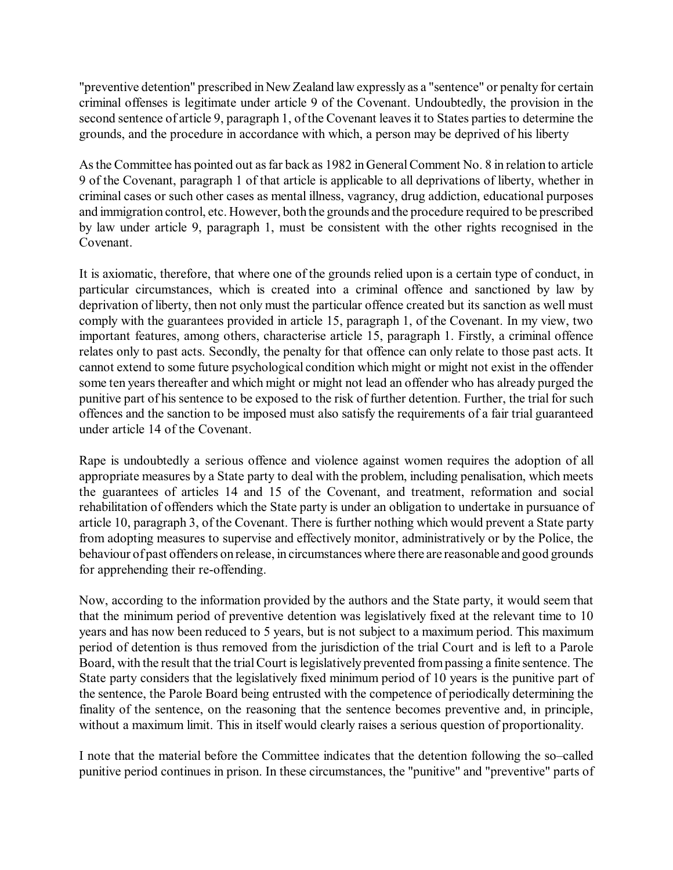"preventive detention" prescribed inNew Zealand law expressly as a "sentence" or penalty for certain criminal offenses is legitimate under article 9 of the Covenant. Undoubtedly, the provision in the second sentence of article 9, paragraph 1, of the Covenant leaves it to States parties to determine the grounds, and the procedure in accordance with which, a person may be deprived of his liberty

As the Committee has pointed out as far back as 1982 in General Comment No. 8 in relation to article 9 of the Covenant, paragraph 1 of that article is applicable to all deprivations of liberty, whether in criminal cases or such other cases as mental illness, vagrancy, drug addiction, educational purposes and immigration control, etc. However, both the grounds and the procedure required to be prescribed by law under article 9, paragraph 1, must be consistent with the other rights recognised in the Covenant.

It is axiomatic, therefore, that where one of the grounds relied upon is a certain type of conduct, in particular circumstances, which is created into a criminal offence and sanctioned by law by deprivation of liberty, then not only must the particular offence created but its sanction as well must comply with the guarantees provided in article 15, paragraph 1, of the Covenant. In my view, two important features, among others, characterise article 15, paragraph 1. Firstly, a criminal offence relates only to past acts. Secondly, the penalty for that offence can only relate to those past acts. It cannot extend to some future psychological condition which might or might not exist in the offender some ten years thereafter and which might or might not lead an offender who has already purged the punitive part of his sentence to be exposed to the risk of further detention. Further, the trial for such offences and the sanction to be imposed must also satisfy the requirements of a fair trial guaranteed under article 14 of the Covenant.

Rape is undoubtedly a serious offence and violence against women requires the adoption of all appropriate measures by a State party to deal with the problem, including penalisation, which meets the guarantees of articles 14 and 15 of the Covenant, and treatment, reformation and social rehabilitation of offenders which the State party is under an obligation to undertake in pursuance of article 10, paragraph 3, of the Covenant. There is further nothing which would prevent a State party from adopting measures to supervise and effectively monitor, administratively or by the Police, the behaviour of past offenders on release, in circumstances where there are reasonable and good grounds for apprehending their re-offending.

Now, according to the information provided by the authors and the State party, it would seem that that the minimum period of preventive detention was legislatively fixed at the relevant time to 10 years and has now been reduced to 5 years, but is not subject to a maximum period. This maximum period of detention is thus removed from the jurisdiction of the trial Court and is left to a Parole Board, with the result that the trial Court is legislatively prevented from passing a finite sentence. The State party considers that the legislatively fixed minimum period of 10 years is the punitive part of the sentence, the Parole Board being entrusted with the competence of periodically determining the finality of the sentence, on the reasoning that the sentence becomes preventive and, in principle, without a maximum limit. This in itself would clearly raises a serious question of proportionality.

I note that the material before the Committee indicates that the detention following the so–called punitive period continues in prison. In these circumstances, the "punitive" and "preventive" parts of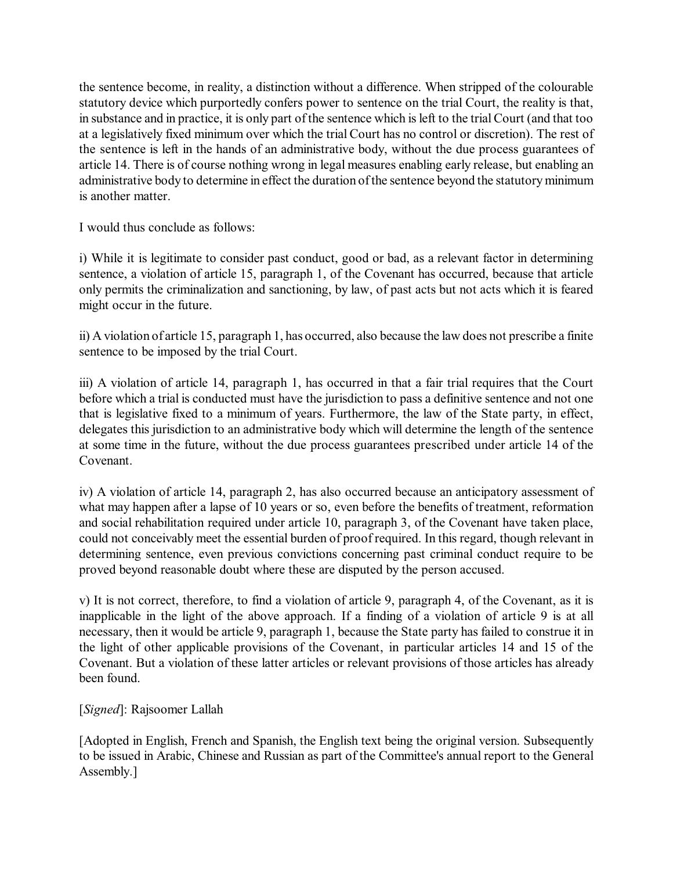the sentence become, in reality, a distinction without a difference. When stripped of the colourable statutory device which purportedly confers power to sentence on the trial Court, the reality is that, in substance and in practice, it is only part of the sentence which is left to the trial Court (and that too at a legislatively fixed minimum over which the trial Court has no control or discretion). The rest of the sentence is left in the hands of an administrative body, without the due process guarantees of article 14. There is of course nothing wrong in legal measures enabling early release, but enabling an administrative body to determine in effect the duration of the sentence beyond the statutory minimum is another matter.

I would thus conclude as follows:

i) While it is legitimate to consider past conduct, good or bad, as a relevant factor in determining sentence, a violation of article 15, paragraph 1, of the Covenant has occurred, because that article only permits the criminalization and sanctioning, by law, of past acts but not acts which it is feared might occur in the future.

ii) A violation of article 15, paragraph 1, has occurred, also because the law does not prescribe a finite sentence to be imposed by the trial Court.

iii) A violation of article 14, paragraph 1, has occurred in that a fair trial requires that the Court before which a trial is conducted must have the jurisdiction to pass a definitive sentence and not one that is legislative fixed to a minimum of years. Furthermore, the law of the State party, in effect, delegates this jurisdiction to an administrative body which will determine the length of the sentence at some time in the future, without the due process guarantees prescribed under article 14 of the Covenant.

iv) A violation of article 14, paragraph 2, has also occurred because an anticipatory assessment of what may happen after a lapse of 10 years or so, even before the benefits of treatment, reformation and social rehabilitation required under article 10, paragraph 3, of the Covenant have taken place, could not conceivably meet the essential burden of proof required. In this regard, though relevant in determining sentence, even previous convictions concerning past criminal conduct require to be proved beyond reasonable doubt where these are disputed by the person accused.

v) It is not correct, therefore, to find a violation of article 9, paragraph 4, of the Covenant, as it is inapplicable in the light of the above approach. If a finding of a violation of article 9 is at all necessary, then it would be article 9, paragraph 1, because the State party has failed to construe it in the light of other applicable provisions of the Covenant, in particular articles 14 and 15 of the Covenant. But a violation of these latter articles or relevant provisions of those articles has already been found.

[*Signed*]: Rajsoomer Lallah

[Adopted in English, French and Spanish, the English text being the original version. Subsequently to be issued in Arabic, Chinese and Russian as part of the Committee's annual report to the General Assembly.]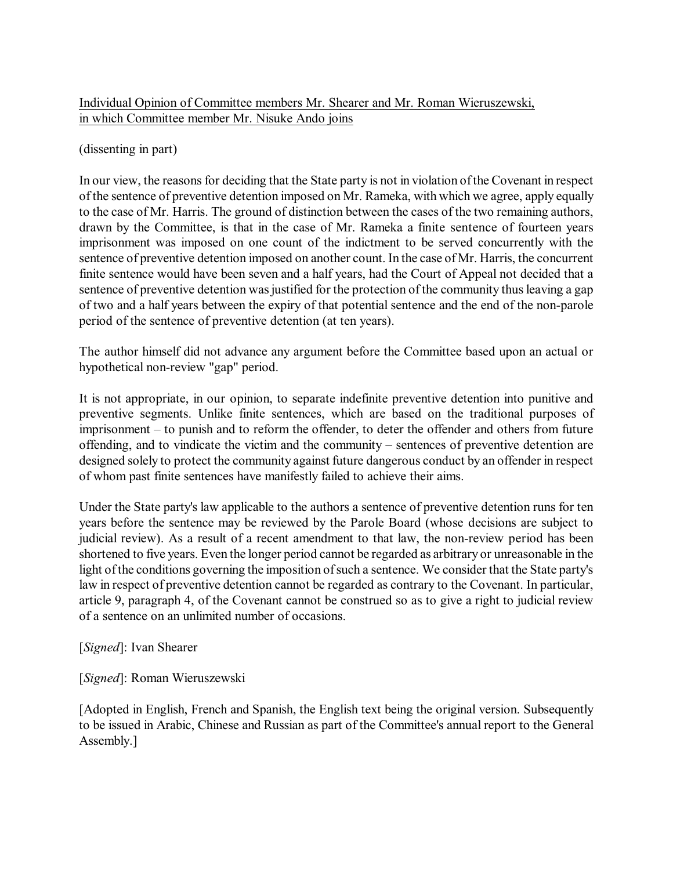# Individual Opinion of Committee members Mr. Shearer and Mr. Roman Wieruszewski, in which Committee member Mr. Nisuke Ando joins

# (dissenting in part)

In our view, the reasons for deciding that the State party is not in violation of the Covenant in respect of the sentence of preventive detention imposed on Mr. Rameka, with which we agree, apply equally to the case of Mr. Harris. The ground of distinction between the cases of the two remaining authors, drawn by the Committee, is that in the case of Mr. Rameka a finite sentence of fourteen years imprisonment was imposed on one count of the indictment to be served concurrently with the sentence of preventive detention imposed on another count. In the case of Mr. Harris, the concurrent finite sentence would have been seven and a half years, had the Court of Appeal not decided that a sentence of preventive detention was justified for the protection of the community thus leaving a gap of two and a half years between the expiry of that potential sentence and the end of the non-parole period of the sentence of preventive detention (at ten years).

The author himself did not advance any argument before the Committee based upon an actual or hypothetical non-review "gap" period.

It is not appropriate, in our opinion, to separate indefinite preventive detention into punitive and preventive segments. Unlike finite sentences, which are based on the traditional purposes of imprisonment – to punish and to reform the offender, to deter the offender and others from future offending, and to vindicate the victim and the community – sentences of preventive detention are designed solely to protect the community against future dangerous conduct by an offender in respect of whom past finite sentences have manifestly failed to achieve their aims.

Under the State party's law applicable to the authors a sentence of preventive detention runs for ten years before the sentence may be reviewed by the Parole Board (whose decisions are subject to judicial review). As a result of a recent amendment to that law, the non-review period has been shortened to five years. Even the longer period cannot be regarded as arbitrary or unreasonable in the light of the conditions governing the imposition of such a sentence. We consider that the State party's law in respect of preventive detention cannot be regarded as contrary to the Covenant. In particular, article 9, paragraph 4, of the Covenant cannot be construed so as to give a right to judicial review of a sentence on an unlimited number of occasions.

[*Signed*]: Ivan Shearer

[*Signed*]: Roman Wieruszewski

[Adopted in English, French and Spanish, the English text being the original version. Subsequently to be issued in Arabic, Chinese and Russian as part of the Committee's annual report to the General Assembly.]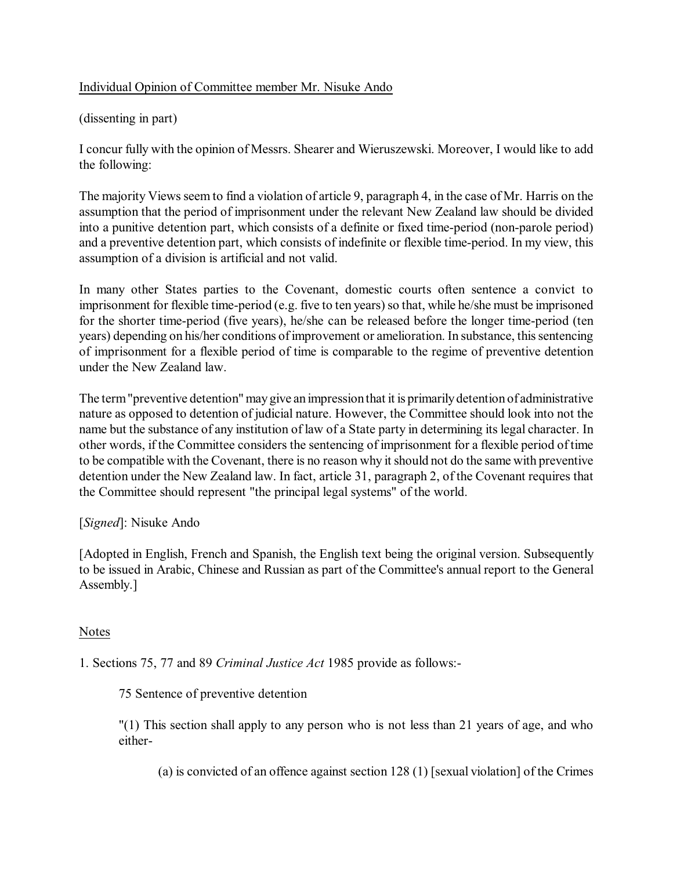# Individual Opinion of Committee member Mr. Nisuke Ando

# (dissenting in part)

I concur fully with the opinion of Messrs. Shearer and Wieruszewski. Moreover, I would like to add the following:

The majority Views seem to find a violation of article 9, paragraph 4, in the case of Mr. Harris on the assumption that the period of imprisonment under the relevant New Zealand law should be divided into a punitive detention part, which consists of a definite or fixed time-period (non-parole period) and a preventive detention part, which consists of indefinite or flexible time-period. In my view, this assumption of a division is artificial and not valid.

In many other States parties to the Covenant, domestic courts often sentence a convict to imprisonment for flexible time-period (e.g. five to ten years) so that, while he/she must be imprisoned for the shorter time-period (five years), he/she can be released before the longer time-period (ten years) depending on his/her conditions of improvement or amelioration. In substance, this sentencing of imprisonment for a flexible period of time is comparable to the regime of preventive detention under the New Zealand law.

The term "preventive detention" may give an impression that it is primarily detention of administrative nature as opposed to detention of judicial nature. However, the Committee should look into not the name but the substance of any institution of law of a State party in determining its legal character. In other words, if the Committee considers the sentencing of imprisonment for a flexible period of time to be compatible with the Covenant, there is no reason why it should not do the same with preventive detention under the New Zealand law. In fact, article 31, paragraph 2, of the Covenant requires that the Committee should represent "the principal legal systems" of the world.

# [*Signed*]: Nisuke Ando

[Adopted in English, French and Spanish, the English text being the original version. Subsequently to be issued in Arabic, Chinese and Russian as part of the Committee's annual report to the General Assembly.]

# Notes

# 1. Sections 75, 77 and 89 *Criminal Justice Act* 1985 provide as follows:-

75 Sentence of preventive detention

"(1) This section shall apply to any person who is not less than 21 years of age, and who either-

(a) is convicted of an offence against section 128 (1) [sexual violation] of the Crimes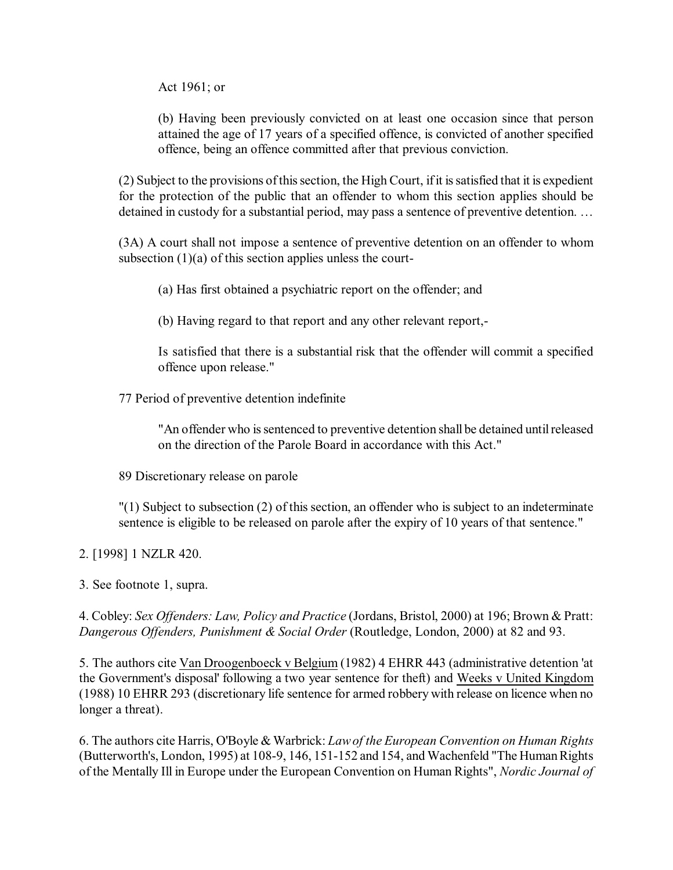Act 1961; or

(b) Having been previously convicted on at least one occasion since that person attained the age of 17 years of a specified offence, is convicted of another specified offence, being an offence committed after that previous conviction.

(2) Subject to the provisions of this section, the High Court, if it is satisfied that it is expedient for the protection of the public that an offender to whom this section applies should be detained in custody for a substantial period, may pass a sentence of preventive detention. …

(3A) A court shall not impose a sentence of preventive detention on an offender to whom subsection (1)(a) of this section applies unless the court-

(a) Has first obtained a psychiatric report on the offender; and

(b) Having regard to that report and any other relevant report,-

Is satisfied that there is a substantial risk that the offender will commit a specified offence upon release."

77 Period of preventive detention indefinite

"An offender who is sentenced to preventive detention shall be detained until released on the direction of the Parole Board in accordance with this Act."

89 Discretionary release on parole

"(1) Subject to subsection (2) of this section, an offender who is subject to an indeterminate sentence is eligible to be released on parole after the expiry of 10 years of that sentence."

2. [1998] 1 NZLR 420.

3. See footnote 1, supra.

4. Cobley: *Sex Offenders: Law, Policy and Practice* (Jordans, Bristol, 2000) at 196; Brown & Pratt: *Dangerous Offenders, Punishment & Social Order* (Routledge, London, 2000) at 82 and 93.

5. The authors cite Van Droogenboeck v Belgium (1982) 4 EHRR 443 (administrative detention 'at the Government's disposal' following a two year sentence for theft) and Weeks v United Kingdom (1988) 10 EHRR 293 (discretionary life sentence for armed robbery with release on licence when no longer a threat).

6. The authors cite Harris, O'Boyle & Warbrick: *Lawof the European Convention on Human Rights* (Butterworth's, London, 1995) at 108-9, 146, 151-152 and 154, and Wachenfeld "The Human Rights of the Mentally Ill in Europe under the European Convention on Human Rights", *Nordic Journal of*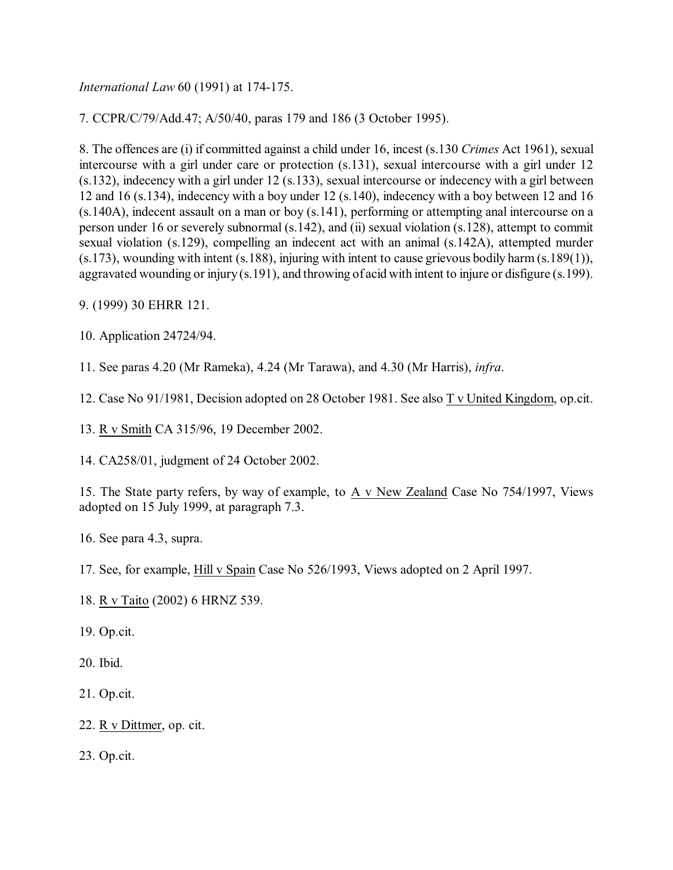*International Law* 60 (1991) at 174-175.

7. CCPR/C/79/Add.47; A/50/40, paras 179 and 186 (3 October 1995).

8. The offences are (i) if committed against a child under 16, incest (s.130 *Crimes* Act 1961), sexual intercourse with a girl under care or protection (s.131), sexual intercourse with a girl under 12 (s.132), indecency with a girl under 12 (s.133), sexual intercourse or indecency with a girl between 12 and 16 (s.134), indecency with a boy under 12 (s.140), indecency with a boy between 12 and 16 (s.140A), indecent assault on a man or boy (s.141), performing or attempting anal intercourse on a person under 16 or severely subnormal (s.142), and (ii) sexual violation (s.128), attempt to commit sexual violation (s.129), compelling an indecent act with an animal (s.142A), attempted murder (s.173), wounding with intent (s.188), injuring with intent to cause grievous bodily harm (s.189(1)), aggravated wounding or injury (s.191), and throwing of acid with intent to injure or disfigure (s.199).

9. (1999) 30 EHRR 121.

10. Application 24724/94.

11. See paras 4.20 (Mr Rameka), 4.24 (Mr Tarawa), and 4.30 (Mr Harris), *infra*.

12. Case No 91/1981, Decision adopted on 28 October 1981. See also T v United Kingdom, op.cit.

13. R v Smith CA 315/96, 19 December 2002.

14. CA258/01, judgment of 24 October 2002.

15. The State party refers, by way of example, to A v New Zealand Case No 754/1997, Views adopted on 15 July 1999, at paragraph 7.3.

16. See para 4.3, supra.

17. See, for example, Hill v Spain Case No 526/1993, Views adopted on 2 April 1997.

18. R v Taito (2002) 6 HRNZ 539.

19. Op.cit.

20. Ibid.

21. Op.cit.

22. R v Dittmer, op. cit.

23. Op.cit.